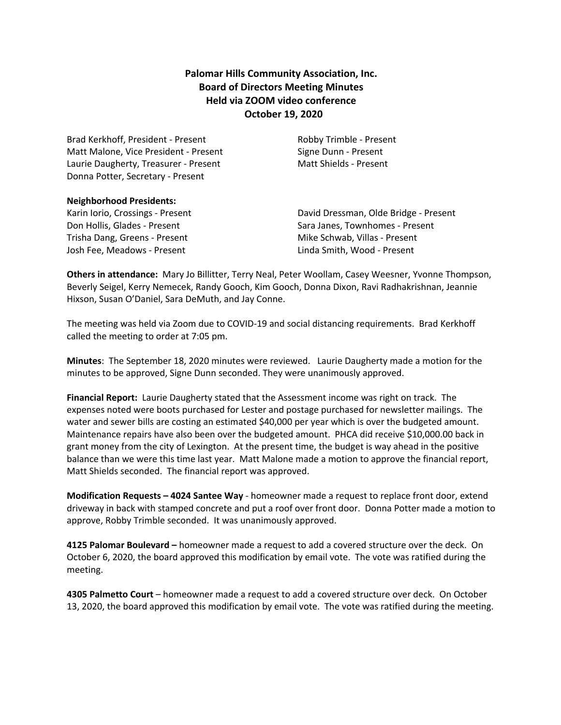# **Palomar Hills Community Association, Inc. Board of Directors Meeting Minutes Held via ZOOM video conference October 19, 2020**

Brad Kerkhoff, President - Present **Robby Trimble - Present** Matt Malone, Vice President - Present Signe Dunn - Present Laurie Daugherty, Treasurer - Present Matt Shields - Present Donna Potter, Secretary - Present

#### **Neighborhood Presidents:**

Trisha Dang, Greens - Present Trisha Dang, Greens - Present Josh Fee, Meadows - Present Linda Smith, Wood - Present

Karin Iorio, Crossings - Present David Dressman, Olde Bridge - Present Don Hollis, Glades - Present Sara Janes, Townhomes - Present

**Others in attendance:** Mary Jo Billitter, Terry Neal, Peter Woollam, Casey Weesner, Yvonne Thompson, Beverly Seigel, Kerry Nemecek, Randy Gooch, Kim Gooch, Donna Dixon, Ravi Radhakrishnan, Jeannie Hixson, Susan O'Daniel, Sara DeMuth, and Jay Conne.

The meeting was held via Zoom due to COVID-19 and social distancing requirements. Brad Kerkhoff called the meeting to order at 7:05 pm.

**Minutes**: The September 18, 2020 minutes were reviewed. Laurie Daugherty made a motion for the minutes to be approved, Signe Dunn seconded. They were unanimously approved.

**Financial Report:** Laurie Daugherty stated that the Assessment income was right on track. The expenses noted were boots purchased for Lester and postage purchased for newsletter mailings. The water and sewer bills are costing an estimated \$40,000 per year which is over the budgeted amount. Maintenance repairs have also been over the budgeted amount. PHCA did receive \$10,000.00 back in grant money from the city of Lexington. At the present time, the budget is way ahead in the positive balance than we were this time last year. Matt Malone made a motion to approve the financial report, Matt Shields seconded. The financial report was approved.

**Modification Requests – 4024 Santee Way** - homeowner made a request to replace front door, extend driveway in back with stamped concrete and put a roof over front door. Donna Potter made a motion to approve, Robby Trimble seconded. It was unanimously approved.

**4125 Palomar Boulevard –** homeowner made a request to add a covered structure over the deck. On October 6, 2020, the board approved this modification by email vote. The vote was ratified during the meeting.

**4305 Palmetto Court** – homeowner made a request to add a covered structure over deck. On October 13, 2020, the board approved this modification by email vote. The vote was ratified during the meeting.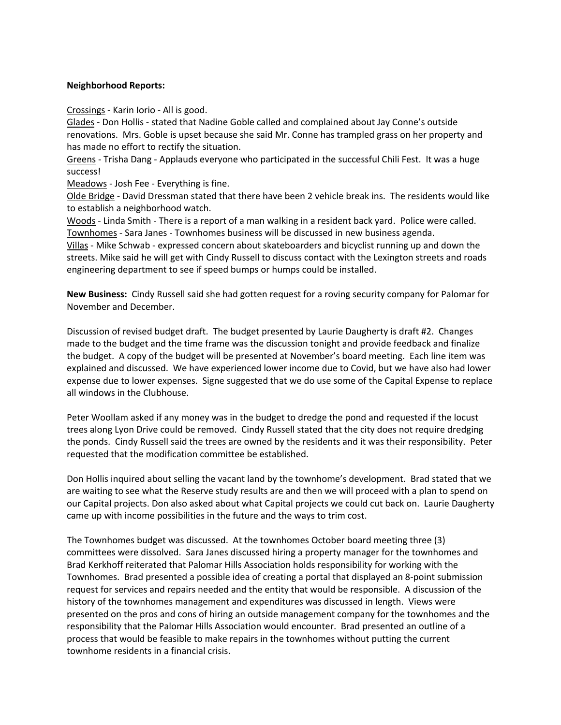# **Neighborhood Reports:**

Crossings - Karin Iorio - All is good.

Glades - Don Hollis - stated that Nadine Goble called and complained about Jay Conne's outside renovations. Mrs. Goble is upset because she said Mr. Conne has trampled grass on her property and has made no effort to rectify the situation.

Greens - Trisha Dang - Applauds everyone who participated in the successful Chili Fest. It was a huge success!

Meadows - Josh Fee - Everything is fine.

Olde Bridge - David Dressman stated that there have been 2 vehicle break ins. The residents would like to establish a neighborhood watch.

Woods - Linda Smith - There is a report of a man walking in a resident back yard. Police were called. Townhomes - Sara Janes - Townhomes business will be discussed in new business agenda.

Villas - Mike Schwab - expressed concern about skateboarders and bicyclist running up and down the streets. Mike said he will get with Cindy Russell to discuss contact with the Lexington streets and roads engineering department to see if speed bumps or humps could be installed.

**New Business:** Cindy Russell said she had gotten request for a roving security company for Palomar for November and December.

Discussion of revised budget draft. The budget presented by Laurie Daugherty is draft #2. Changes made to the budget and the time frame was the discussion tonight and provide feedback and finalize the budget. A copy of the budget will be presented at November's board meeting. Each line item was explained and discussed. We have experienced lower income due to Covid, but we have also had lower expense due to lower expenses. Signe suggested that we do use some of the Capital Expense to replace all windows in the Clubhouse.

Peter Woollam asked if any money was in the budget to dredge the pond and requested if the locust trees along Lyon Drive could be removed. Cindy Russell stated that the city does not require dredging the ponds. Cindy Russell said the trees are owned by the residents and it was their responsibility. Peter requested that the modification committee be established.

Don Hollis inquired about selling the vacant land by the townhome's development. Brad stated that we are waiting to see what the Reserve study results are and then we will proceed with a plan to spend on our Capital projects. Don also asked about what Capital projects we could cut back on. Laurie Daugherty came up with income possibilities in the future and the ways to trim cost.

The Townhomes budget was discussed. At the townhomes October board meeting three (3) committees were dissolved. Sara Janes discussed hiring a property manager for the townhomes and Brad Kerkhoff reiterated that Palomar Hills Association holds responsibility for working with the Townhomes. Brad presented a possible idea of creating a portal that displayed an 8-point submission request for services and repairs needed and the entity that would be responsible. A discussion of the history of the townhomes management and expenditures was discussed in length. Views were presented on the pros and cons of hiring an outside management company for the townhomes and the responsibility that the Palomar Hills Association would encounter. Brad presented an outline of a process that would be feasible to make repairs in the townhomes without putting the current townhome residents in a financial crisis.